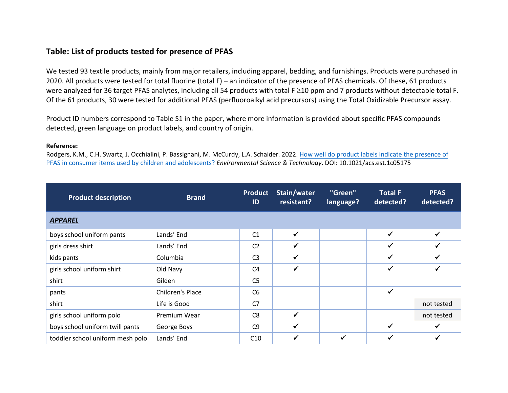## **Table: List of products tested for presence of PFAS**

We tested 93 textile products, mainly from major retailers, including apparel, bedding, and furnishings. Products were purchased in 2020. All products were tested for total fluorine (total F) – an indicator of the presence of PFAS chemicals. Of these, 61 products were analyzed for 36 target PFAS analytes, including all 54 products with total F ≥10 ppm and 7 products without detectable total F. Of the 61 products, 30 were tested for additional PFAS (perfluoroalkyl acid precursors) using the Total Oxidizable Precursor assay.

Product ID numbers correspond to Table S1 in the paper, where more information is provided about specific PFAS compounds detected, green language on product labels, and country of origin.

## **Reference:**

Rodgers, K.M., C.H. Swartz, J. Occhialini, P. Bassignani, M. McCurdy, L.A. Schaider. 2022. How well [do product labels indicate the presence](https://doi.org/10.1021/acs.est.1c05175) of [PFAS in consumer items used by children and](https://doi.org/10.1021/acs.est.1c05175) adolescents? *Environmental Science & Technology*. DOI: 10.1021/acs.est.1c05175

| <b>Product description</b>       | <b>Brand</b>     | <b>Product</b><br>ID | Stain/water<br>resistant? | "Green"<br>language? | <b>Total F</b><br>detected? | <b>PFAS</b><br>detected? |
|----------------------------------|------------------|----------------------|---------------------------|----------------------|-----------------------------|--------------------------|
| <b>APPAREL</b>                   |                  |                      |                           |                      |                             |                          |
| boys school uniform pants        | Lands' End       | C <sub>1</sub>       | $\checkmark$              |                      | ✓                           | $\checkmark$             |
| girls dress shirt                | Lands' End       | C <sub>2</sub>       | $\checkmark$              |                      | $\checkmark$                | $\checkmark$             |
| kids pants                       | Columbia         | C <sub>3</sub>       |                           |                      |                             | √                        |
| girls school uniform shirt       | Old Navy         | C <sub>4</sub>       | $\checkmark$              |                      | $\checkmark$                | ✔                        |
| shirt                            | Gilden           | C <sub>5</sub>       |                           |                      |                             |                          |
| pants                            | Children's Place | C <sub>6</sub>       |                           |                      | ✔                           |                          |
| shirt                            | Life is Good     | C7                   |                           |                      |                             | not tested               |
| girls school uniform polo        | Premium Wear     | C <sub>8</sub>       | $\checkmark$              |                      |                             | not tested               |
| boys school uniform twill pants  | George Boys      | C <sub>9</sub>       | ✔                         |                      | $\checkmark$                | $\checkmark$             |
| toddler school uniform mesh polo | Lands' End       | C10                  | $\checkmark$              |                      | $\checkmark$                | $\checkmark$             |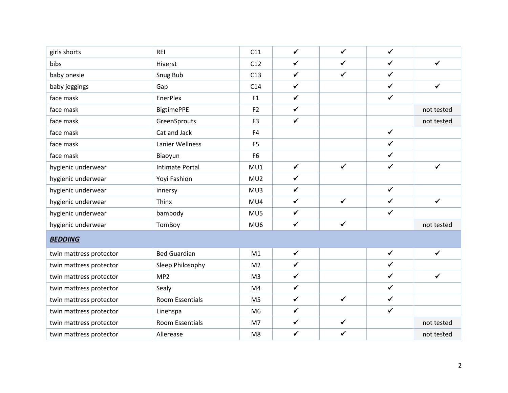| girls shorts            | <b>REI</b>             | C11            | $\checkmark$ | $\checkmark$ | $\checkmark$ |              |
|-------------------------|------------------------|----------------|--------------|--------------|--------------|--------------|
| bibs                    | Hiverst                | C12            | $\checkmark$ | $\checkmark$ | $\checkmark$ | $\checkmark$ |
| baby onesie             | Snug Bub               | C13            | $\checkmark$ | $\checkmark$ | $\checkmark$ |              |
| baby jeggings           | Gap                    | C14            | $\checkmark$ |              | $\checkmark$ | $\checkmark$ |
| face mask               | EnerPlex               | F1             | $\checkmark$ |              | $\checkmark$ |              |
| face mask               | <b>BigtimePPE</b>      | F <sub>2</sub> | $\checkmark$ |              |              | not tested   |
| face mask               | GreenSprouts           | F <sub>3</sub> | $\checkmark$ |              |              | not tested   |
| face mask               | Cat and Jack           | F <sub>4</sub> |              |              | $\checkmark$ |              |
| face mask               | Lanier Wellness        | F <sub>5</sub> |              |              | $\checkmark$ |              |
| face mask               | Biaoyun                | F <sub>6</sub> |              |              | $\checkmark$ |              |
| hygienic underwear      | <b>Intimate Portal</b> | MU1            | $\checkmark$ | $\checkmark$ | $\checkmark$ | $\checkmark$ |
| hygienic underwear      | Yoyi Fashion           | MU2            | $\checkmark$ |              |              |              |
| hygienic underwear      | innersy                | MU3            | $\checkmark$ |              | $\checkmark$ |              |
| hygienic underwear      | Thinx                  | MU4            | $\checkmark$ | $\checkmark$ | $\checkmark$ | $\checkmark$ |
| hygienic underwear      | bambody                | MU5            | $\checkmark$ |              | $\checkmark$ |              |
| hygienic underwear      | TomBoy                 | MU6            | $\checkmark$ | $\checkmark$ |              | not tested   |
| <b>BEDDING</b>          |                        |                |              |              |              |              |
| twin mattress protector | <b>Bed Guardian</b>    | M1             | $\checkmark$ |              | $\checkmark$ | $\checkmark$ |
| twin mattress protector | Sleep Philosophy       | M <sub>2</sub> | $\checkmark$ |              | $\checkmark$ |              |
| twin mattress protector | MP2                    | M <sub>3</sub> | $\checkmark$ |              | $\checkmark$ | $\checkmark$ |
| twin mattress protector | Sealy                  | M4             | $\checkmark$ |              | $\checkmark$ |              |
| twin mattress protector | Room Essentials        | M <sub>5</sub> | $\checkmark$ | $\checkmark$ | $\checkmark$ |              |
| twin mattress protector | Linenspa               | M <sub>6</sub> | $\checkmark$ |              | $\checkmark$ |              |
| twin mattress protector | <b>Room Essentials</b> | M7             | $\checkmark$ | $\checkmark$ |              | not tested   |
| twin mattress protector | Allerease              | M <sub>8</sub> | $\checkmark$ | $\checkmark$ |              | not tested   |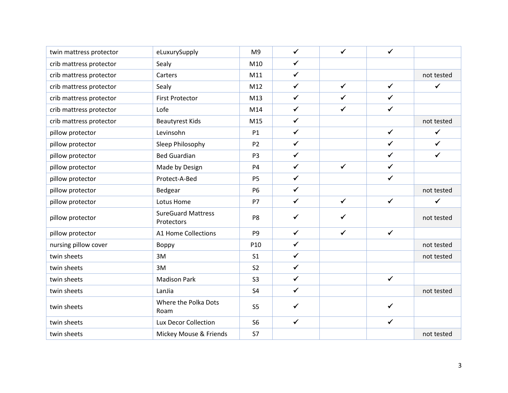| twin mattress protector | eLuxurySupply                           | M <sub>9</sub>  | $\checkmark$ | $\checkmark$ | $\checkmark$ |              |
|-------------------------|-----------------------------------------|-----------------|--------------|--------------|--------------|--------------|
| crib mattress protector | Sealy                                   | M10             | $\checkmark$ |              |              |              |
| crib mattress protector | Carters                                 | M11             | $\checkmark$ |              |              | not tested   |
| crib mattress protector | Sealy                                   | M12             | $\checkmark$ | $\checkmark$ | $\checkmark$ | $\checkmark$ |
| crib mattress protector | <b>First Protector</b>                  | M13             | $\checkmark$ | $\checkmark$ | $\checkmark$ |              |
| crib mattress protector | Lofe                                    | M14             | $\checkmark$ | $\checkmark$ | $\checkmark$ |              |
| crib mattress protector | <b>Beautyrest Kids</b>                  | M15             | $\checkmark$ |              |              | not tested   |
| pillow protector        | Levinsohn                               | P1              | $\checkmark$ |              | $\checkmark$ | $\checkmark$ |
| pillow protector        | Sleep Philosophy                        | P <sub>2</sub>  | $\checkmark$ |              | $\checkmark$ | $\checkmark$ |
| pillow protector        | <b>Bed Guardian</b>                     | P <sub>3</sub>  | $\checkmark$ |              | $\checkmark$ | $\checkmark$ |
| pillow protector        | Made by Design                          | P <sub>4</sub>  | $\checkmark$ | $\checkmark$ | $\checkmark$ |              |
| pillow protector        | Protect-A-Bed                           | P <sub>5</sub>  | $\checkmark$ |              | $\checkmark$ |              |
| pillow protector        | Bedgear                                 | <b>P6</b>       | $\checkmark$ |              |              | not tested   |
| pillow protector        | Lotus Home                              | <b>P7</b>       | $\checkmark$ | $\checkmark$ | $\checkmark$ | $\checkmark$ |
| pillow protector        | <b>SureGuard Mattress</b><br>Protectors | P8              | $\checkmark$ | $\checkmark$ |              | not tested   |
| pillow protector        | <b>A1 Home Collections</b>              | P <sub>9</sub>  | $\checkmark$ | $\checkmark$ | $\checkmark$ |              |
| nursing pillow cover    | Boppy                                   | P <sub>10</sub> | $\checkmark$ |              |              | not tested   |
| twin sheets             | 3M                                      | S <sub>1</sub>  | $\checkmark$ |              |              | not tested   |
| twin sheets             | 3M                                      | S <sub>2</sub>  | $\checkmark$ |              |              |              |
| twin sheets             | <b>Madison Park</b>                     | S <sub>3</sub>  | $\checkmark$ |              | $\checkmark$ |              |
| twin sheets             | LanJia                                  | S <sub>4</sub>  | $\checkmark$ |              |              | not tested   |
| twin sheets             | Where the Polka Dots<br>Roam            | S <sub>5</sub>  | $\checkmark$ |              | ✔            |              |
| twin sheets             | Lux Decor Collection                    | S <sub>6</sub>  | $\checkmark$ |              | $\checkmark$ |              |
| twin sheets             | Mickey Mouse & Friends                  | S7              |              |              |              | not tested   |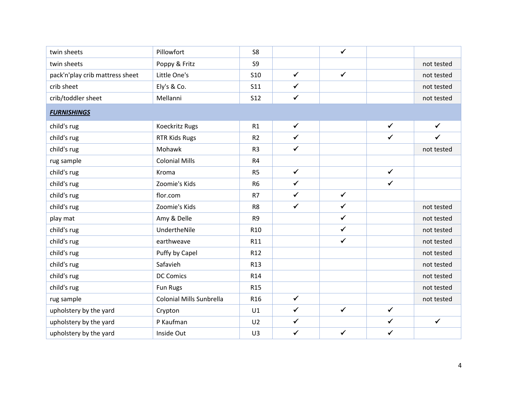| twin sheets                     | Pillowfort                      | S <sub>8</sub>  |              | $\checkmark$ |              |              |
|---------------------------------|---------------------------------|-----------------|--------------|--------------|--------------|--------------|
| twin sheets                     | Poppy & Fritz                   | S <sub>9</sub>  |              |              |              | not tested   |
| pack'n'play crib mattress sheet | Little One's                    | <b>S10</b>      | $\checkmark$ | $\checkmark$ |              | not tested   |
| crib sheet                      | Ely's & Co.                     | <b>S11</b>      | $\checkmark$ |              |              | not tested   |
| crib/toddler sheet              | Mellanni                        | <b>S12</b>      | $\checkmark$ |              |              | not tested   |
| <b>FURNISHINGS</b>              |                                 |                 |              |              |              |              |
| child's rug                     | Koeckritz Rugs                  | R1              | $\checkmark$ |              | $\checkmark$ | $\checkmark$ |
| child's rug                     | <b>RTR Kids Rugs</b>            | R <sub>2</sub>  | $\checkmark$ |              | $\checkmark$ | $\checkmark$ |
| child's rug                     | Mohawk                          | R <sub>3</sub>  | $\checkmark$ |              |              | not tested   |
| rug sample                      | <b>Colonial Mills</b>           | R4              |              |              |              |              |
| child's rug                     | Kroma                           | R <sub>5</sub>  | $\checkmark$ |              | $\checkmark$ |              |
| child's rug                     | Zoomie's Kids                   | R <sub>6</sub>  | $\checkmark$ |              | $\checkmark$ |              |
| child's rug                     | flor.com                        | R7              | $\checkmark$ | $\checkmark$ |              |              |
| child's rug                     | Zoomie's Kids                   | R <sub>8</sub>  | $\checkmark$ | $\checkmark$ |              | not tested   |
| play mat                        | Amy & Delle                     | R <sub>9</sub>  |              | $\checkmark$ |              | not tested   |
| child's rug                     | UndertheNile                    | R <sub>10</sub> |              | $\checkmark$ |              | not tested   |
| child's rug                     | earthweave                      | R11             |              | $\checkmark$ |              | not tested   |
| child's rug                     | Puffy by Capel                  | R <sub>12</sub> |              |              |              | not tested   |
| child's rug                     | Safavieh                        | R <sub>13</sub> |              |              |              | not tested   |
| child's rug                     | <b>DC Comics</b>                | R <sub>14</sub> |              |              |              | not tested   |
| child's rug                     | Fun Rugs                        | R <sub>15</sub> |              |              |              | not tested   |
| rug sample                      | <b>Colonial Mills Sunbrella</b> | R <sub>16</sub> | $\checkmark$ |              |              | not tested   |
| upholstery by the yard          | Crypton                         | U1              | $\checkmark$ | $\checkmark$ | $\checkmark$ |              |
| upholstery by the yard          | P Kaufman                       | U <sub>2</sub>  | $\checkmark$ |              | $\checkmark$ | $\checkmark$ |
| upholstery by the yard          | Inside Out                      | U3              | $\checkmark$ | $\checkmark$ | $\checkmark$ |              |